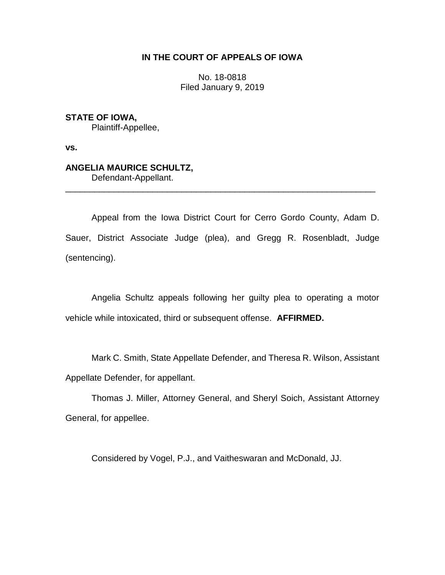# **IN THE COURT OF APPEALS OF IOWA**

No. 18-0818 Filed January 9, 2019

**STATE OF IOWA,** Plaintiff-Appellee,

**vs.**

# **ANGELIA MAURICE SCHULTZ,**

Defendant-Appellant. \_\_\_\_\_\_\_\_\_\_\_\_\_\_\_\_\_\_\_\_\_\_\_\_\_\_\_\_\_\_\_\_\_\_\_\_\_\_\_\_\_\_\_\_\_\_\_\_\_\_\_\_\_\_\_\_\_\_\_\_\_\_\_\_

Appeal from the Iowa District Court for Cerro Gordo County, Adam D. Sauer, District Associate Judge (plea), and Gregg R. Rosenbladt, Judge (sentencing).

Angelia Schultz appeals following her guilty plea to operating a motor vehicle while intoxicated, third or subsequent offense. **AFFIRMED.**

Mark C. Smith, State Appellate Defender, and Theresa R. Wilson, Assistant Appellate Defender, for appellant.

Thomas J. Miller, Attorney General, and Sheryl Soich, Assistant Attorney General, for appellee.

Considered by Vogel, P.J., and Vaitheswaran and McDonald, JJ.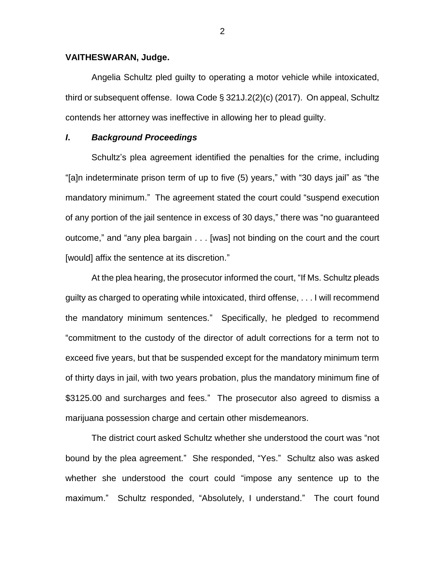#### **VAITHESWARAN, Judge.**

Angelia Schultz pled guilty to operating a motor vehicle while intoxicated, third or subsequent offense. Iowa Code § 321J.2(2)(c) (2017). On appeal, Schultz contends her attorney was ineffective in allowing her to plead guilty.

## *I***.** *Background Proceedings*

Schultz's plea agreement identified the penalties for the crime, including "[a]n indeterminate prison term of up to five (5) years," with "30 days jail" as "the mandatory minimum." The agreement stated the court could "suspend execution of any portion of the jail sentence in excess of 30 days," there was "no guaranteed outcome," and "any plea bargain . . . [was] not binding on the court and the court [would] affix the sentence at its discretion."

At the plea hearing, the prosecutor informed the court, "If Ms. Schultz pleads guilty as charged to operating while intoxicated, third offense, . . . I will recommend the mandatory minimum sentences." Specifically, he pledged to recommend "commitment to the custody of the director of adult corrections for a term not to exceed five years, but that be suspended except for the mandatory minimum term of thirty days in jail, with two years probation, plus the mandatory minimum fine of \$3125.00 and surcharges and fees." The prosecutor also agreed to dismiss a marijuana possession charge and certain other misdemeanors.

The district court asked Schultz whether she understood the court was "not bound by the plea agreement." She responded, "Yes." Schultz also was asked whether she understood the court could "impose any sentence up to the maximum." Schultz responded, "Absolutely, I understand." The court found

2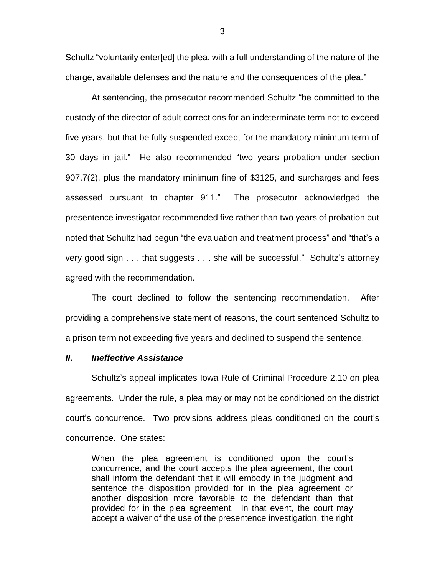Schultz "voluntarily enter[ed] the plea, with a full understanding of the nature of the charge, available defenses and the nature and the consequences of the plea."

At sentencing, the prosecutor recommended Schultz "be committed to the custody of the director of adult corrections for an indeterminate term not to exceed five years, but that be fully suspended except for the mandatory minimum term of 30 days in jail." He also recommended "two years probation under section 907.7(2), plus the mandatory minimum fine of \$3125, and surcharges and fees assessed pursuant to chapter 911." The prosecutor acknowledged the presentence investigator recommended five rather than two years of probation but noted that Schultz had begun "the evaluation and treatment process" and "that's a very good sign . . . that suggests . . . she will be successful." Schultz's attorney agreed with the recommendation.

The court declined to follow the sentencing recommendation. After providing a comprehensive statement of reasons, the court sentenced Schultz to a prison term not exceeding five years and declined to suspend the sentence.

### *II***.** *Ineffective Assistance*

Schultz's appeal implicates Iowa Rule of Criminal Procedure 2.10 on plea agreements. Under the rule, a plea may or may not be conditioned on the district court's concurrence. Two provisions address pleas conditioned on the court's concurrence. One states:

When the plea agreement is conditioned upon the court's concurrence, and the court accepts the plea agreement, the court shall inform the defendant that it will embody in the judgment and sentence the disposition provided for in the plea agreement or another disposition more favorable to the defendant than that provided for in the plea agreement. In that event, the court may accept a waiver of the use of the presentence investigation, the right

3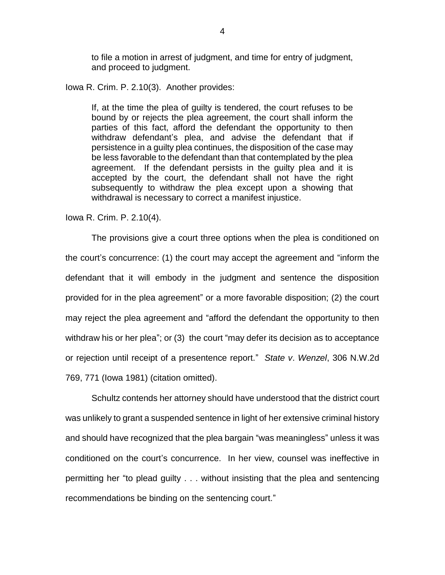to file a motion in arrest of judgment, and time for entry of judgment, and proceed to judgment.

Iowa R. Crim. P. 2.10(3). Another provides:

If, at the time the plea of guilty is tendered, the court refuses to be bound by or rejects the plea agreement, the court shall inform the parties of this fact, afford the defendant the opportunity to then withdraw defendant's plea, and advise the defendant that if persistence in a guilty plea continues, the disposition of the case may be less favorable to the defendant than that contemplated by the plea agreement. If the defendant persists in the guilty plea and it is accepted by the court, the defendant shall not have the right subsequently to withdraw the plea except upon a showing that withdrawal is necessary to correct a manifest injustice.

Iowa R. Crim. P. 2.10(4).

The provisions give a court three options when the plea is conditioned on the court's concurrence: (1) the court may accept the agreement and "inform the defendant that it will embody in the judgment and sentence the disposition provided for in the plea agreement" or a more favorable disposition; (2) the court may reject the plea agreement and "afford the defendant the opportunity to then withdraw his or her plea"; or (3) the court "may defer its decision as to acceptance or rejection until receipt of a presentence report." *State v*. *Wenzel*, 306 N.W.2d 769, 771 (Iowa 1981) (citation omitted).

Schultz contends her attorney should have understood that the district court was unlikely to grant a suspended sentence in light of her extensive criminal history and should have recognized that the plea bargain "was meaningless" unless it was conditioned on the court's concurrence. In her view, counsel was ineffective in permitting her "to plead guilty . . . without insisting that the plea and sentencing recommendations be binding on the sentencing court."